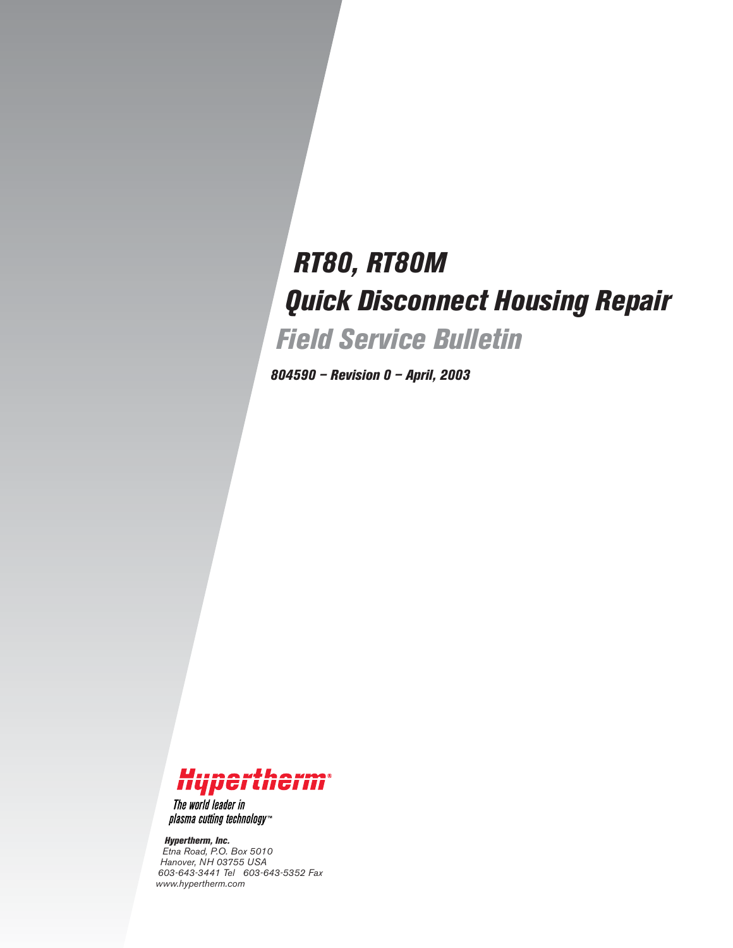# *RT80, RT80M Quick Disconnect Housing Repair Field Service Bulletin*

*804590 – Revision 0 – April, 2003*



The world leader in plasma cutting technology<sup>\*\*</sup>

*Hypertherm, Inc. Etna Road, P.O. Box 5010 Hanover, NH 03755 USA 603-643-3441 Tel 603-643-5352 Fax www.hypertherm.com*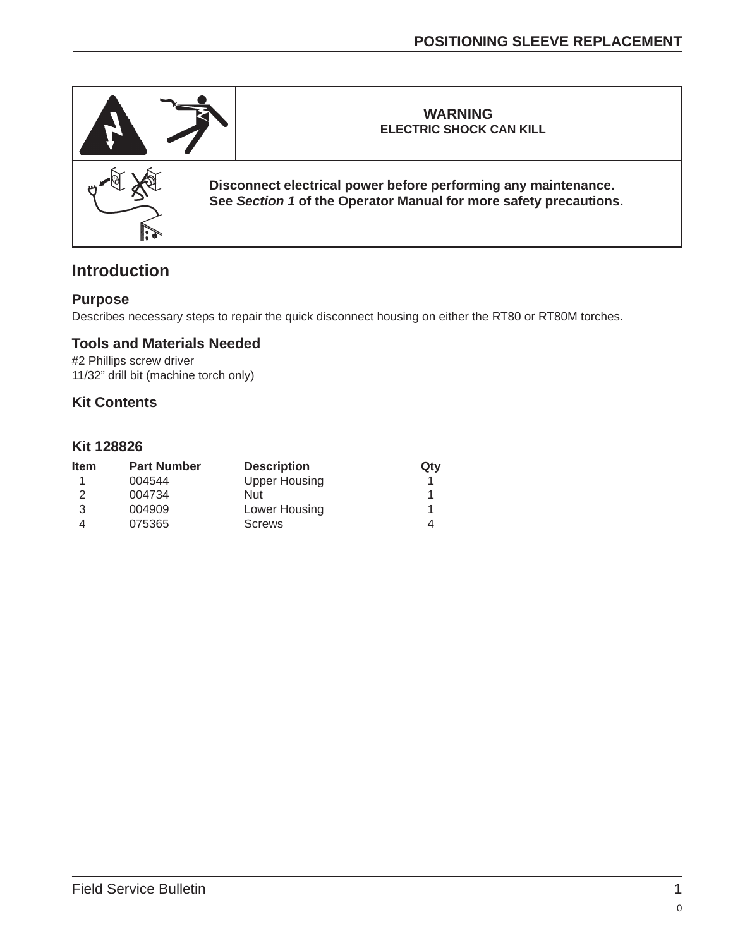

## **Introduction**

#### **Purpose**

Describes necessary steps to repair the quick disconnect housing on either the RT80 or RT80M torches.

#### **Tools and Materials Needed**

#2 Phillips screw driver 11/32" drill bit (machine torch only)

#### **Kit Contents**

#### **Kit 128826**

| <b>Item</b> | <b>Part Number</b> | <b>Description</b>   | Qty |
|-------------|--------------------|----------------------|-----|
|             | 004544             | <b>Upper Housing</b> |     |
| 2           | 004734             | Nut                  |     |
| 3           | 004909             | Lower Housing        |     |
|             | 075365             | <b>Screws</b>        | 4   |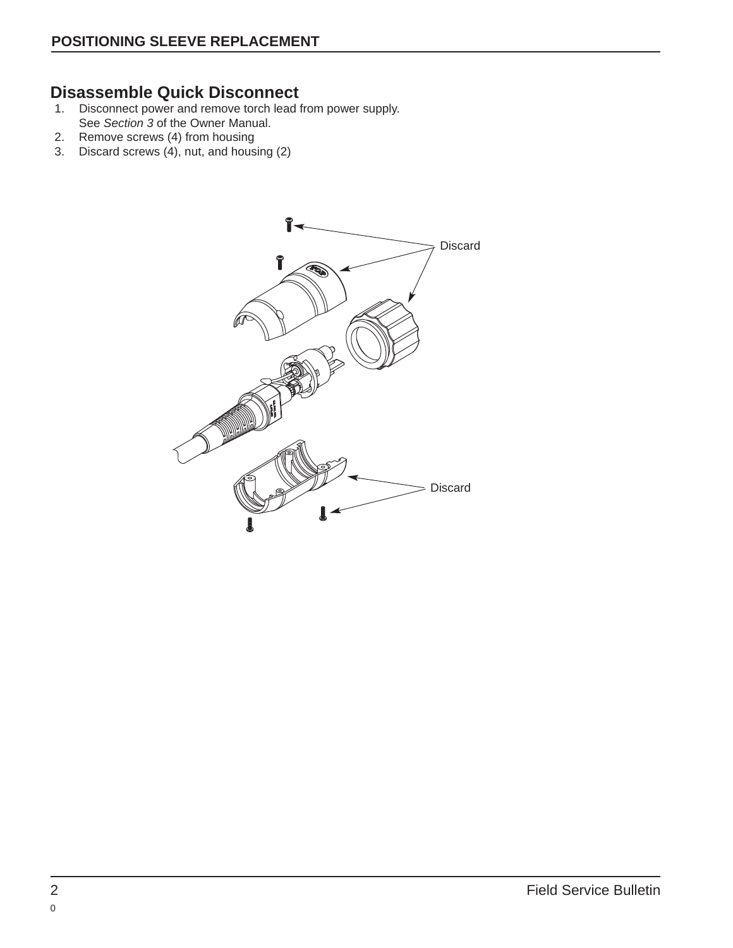## **Disassemble Quick Disconnect**

- 1. Disconnect power and remove torch lead from power supply. See Section 3 of the Owner Manual.
- 2. Remove screws (4) from housing
- 3. Discard screws (4), nut, and housing (2)

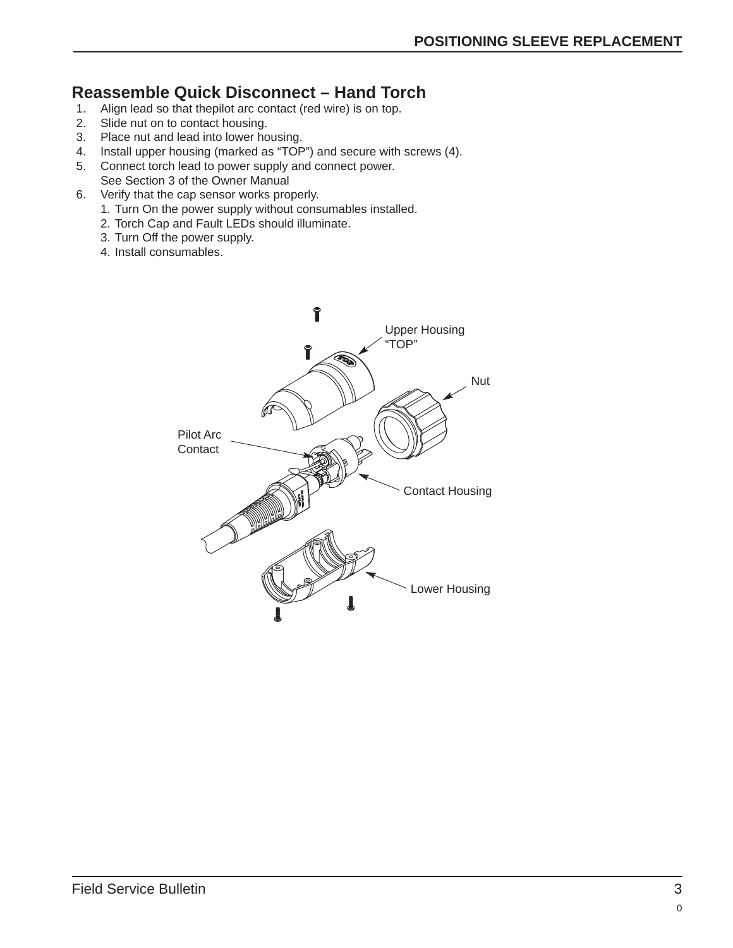## **Reassemble Quick Disconnect – Hand Torch**

- 1. Align lead so that thepilot arc contact (red wire) is on top.
- 2. Slide nut on to contact housing.
- 3. Place nut and lead into lower housing.
- 4. Install upper housing (marked as "TOP") and secure with screws (4).
- 5. Connect torch lead to power supply and connect power. See Section 3 of the Owner Manual
- 6. Verify that the cap sensor works properly.
	- 1. Turn On the power supply without consumables installed.
	- 2. Torch Cap and Fault LEDs should illuminate.
	- 3. Turn Off the power supply.
	- 4. Install consumables.

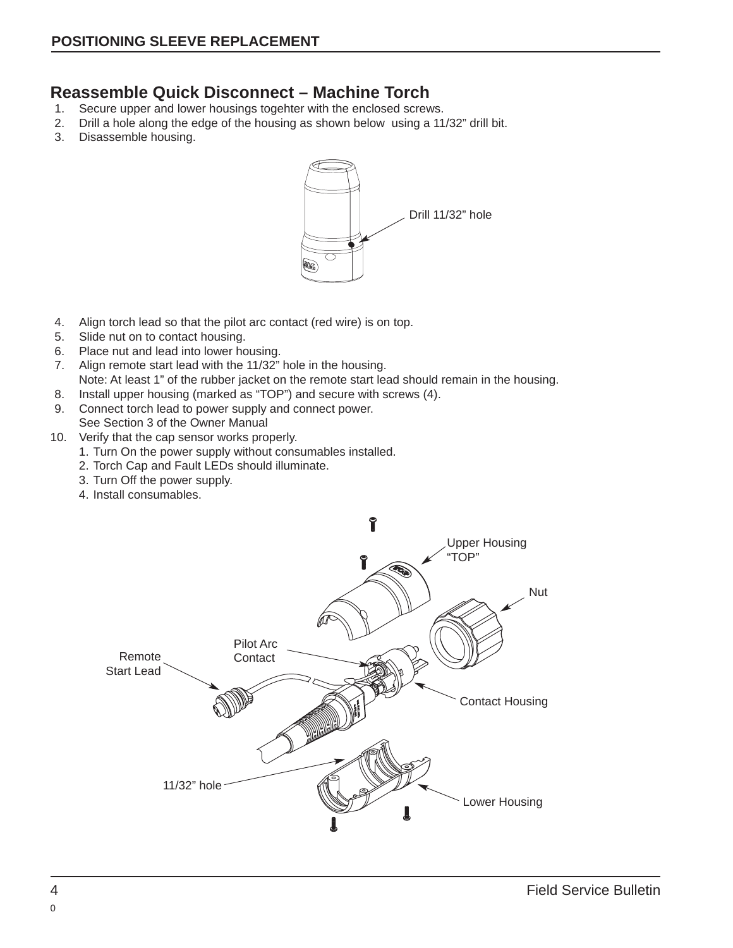### **Reassemble Quick Disconnect – Machine Torch**

- 1. Secure upper and lower housings togehter with the enclosed screws.
- 2. Drill a hole along the edge of the housing as shown below using a 11/32" drill bit.
- 3. Disassemble housing.



- 4. Align torch lead so that the pilot arc contact (red wire) is on top.
- 5. Slide nut on to contact housing.
- 6. Place nut and lead into lower housing.
- 7. Align remote start lead with the 11/32" hole in the housing. Note: At least 1" of the rubber jacket on the remote start lead should remain in the housing.
- 8. Install upper housing (marked as "TOP") and secure with screws (4).
- 9. Connect torch lead to power supply and connect power.

See Section 3 of the Owner Manual

- 10. Verify that the cap sensor works properly.
	- 1. Turn On the power supply without consumables installed.
	- 2. Torch Cap and Fault LEDs should illuminate.
	- 3. Turn Off the power supply.
	- 4. Install consumables.